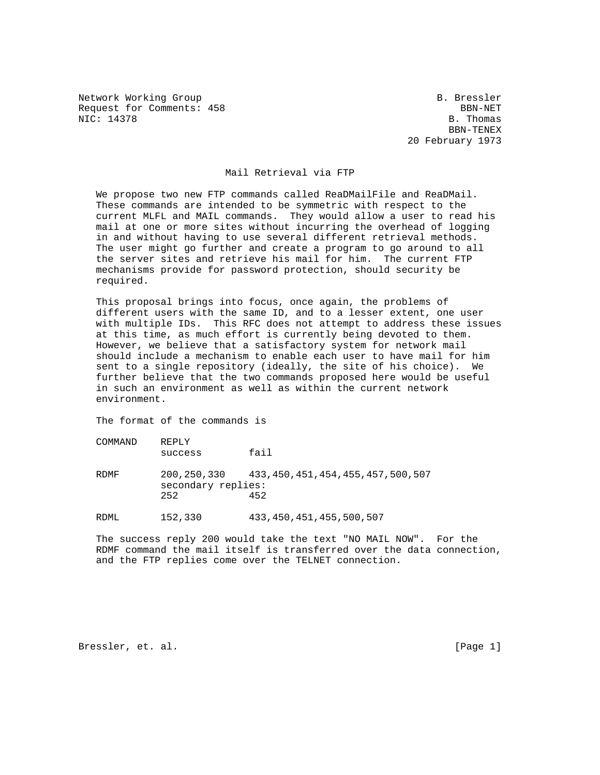Network Working Group and South B. Bressler Request for Comments: 458 BBN-NET<br>NIC: 14378 B. Thomas

NIC: 14378 B. Thomas B. Thomas B. Thomas B. Thomas B. Thomas B. Thomas B. Thomas B. Thomas B. Thomas B. Thomas BBN-TENEX 20 February 1973

## Mail Retrieval via FTP

 We propose two new FTP commands called ReaDMailFile and ReaDMail. These commands are intended to be symmetric with respect to the current MLFL and MAIL commands. They would allow a user to read his mail at one or more sites without incurring the overhead of logging in and without having to use several different retrieval methods. The user might go further and create a program to go around to all the server sites and retrieve his mail for him. The current FTP mechanisms provide for password protection, should security be required.

 This proposal brings into focus, once again, the problems of different users with the same ID, and to a lesser extent, one user with multiple IDs. This RFC does not attempt to address these issues at this time, as much effort is currently being devoted to them. However, we believe that a satisfactory system for network mail should include a mechanism to enable each user to have mail for him sent to a single repository (ideally, the site of his choice). We further believe that the two commands proposed here would be useful in such an environment as well as within the current network environment.

The format of the commands is

| COMMAND | REPLY<br>success          | fail                                                        |
|---------|---------------------------|-------------------------------------------------------------|
| RDMF    | secondary replies:<br>252 | 200, 250, 330 433, 450, 451, 454, 455, 457, 500, 507<br>452 |
| RDML    | 152,330                   | 433,450,451,455,500,507                                     |

 The success reply 200 would take the text "NO MAIL NOW". For the RDMF command the mail itself is transferred over the data connection, and the FTP replies come over the TELNET connection.

Bressler, et. al. [Page 1]